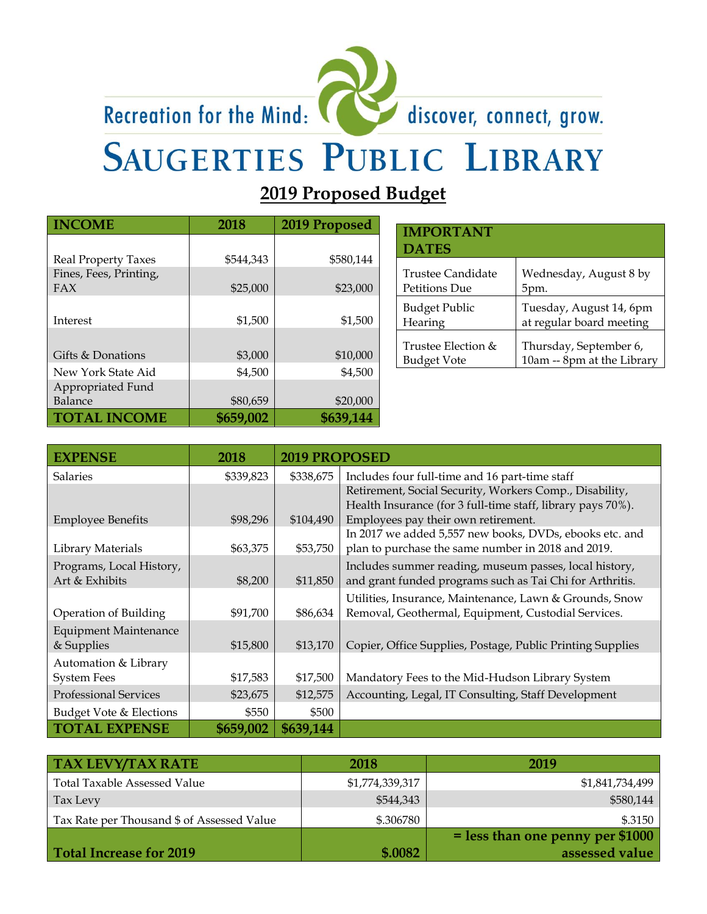

# Recreation for the Mind: **SAUGERTIES PUBLIC LIBRARY**

**2019 Proposed Budget**

| <b>INCOME</b>              | 2018      | 2019 Proposed |
|----------------------------|-----------|---------------|
|                            |           |               |
| <b>Real Property Taxes</b> | \$544,343 | \$580,144     |
| Fines, Fees, Printing,     |           |               |
| FAX                        | \$25,000  | \$23,000      |
|                            |           |               |
| Interest                   | \$1,500   | \$1,500       |
|                            |           |               |
| Gifts & Donations          | \$3,000   | \$10,000      |
| New York State Aid         | \$4,500   | \$4,500       |
| Appropriated Fund          |           |               |
| Balance                    | \$80,659  | \$20,000      |
| <b>TOTAL INCOME</b>        | \$659,002 | \$639,144     |

| <b>IMPORTANT</b><br><b>DATES</b> |                            |
|----------------------------------|----------------------------|
| Trustee Candidate                | Wednesday, August 8 by     |
| Petitions Due                    | 5pm.                       |
| <b>Budget Public</b>             | Tuesday, August 14, 6pm    |
| Hearing                          | at regular board meeting   |
| Trustee Election &               | Thursday, September 6,     |
| Budget Vote                      | 10am -- 8pm at the Library |

discover, connect, grow.

| <b>EXPENSE</b>               | 2018      | <b>2019 PROPOSED</b> |                                                                                                |
|------------------------------|-----------|----------------------|------------------------------------------------------------------------------------------------|
| <b>Salaries</b>              | \$339,823 | \$338,675            | Includes four full-time and 16 part-time staff                                                 |
|                              |           |                      | Retirement, Social Security, Workers Comp., Disability,                                        |
|                              |           |                      | Health Insurance (for 3 full-time staff, library pays 70%).                                    |
| <b>Employee Benefits</b>     | \$98,296  | \$104,490            | Employees pay their own retirement.<br>In 2017 we added 5,557 new books, DVDs, ebooks etc. and |
| Library Materials            | \$63,375  | \$53,750             | plan to purchase the same number in 2018 and 2019.                                             |
| Programs, Local History,     |           |                      | Includes summer reading, museum passes, local history,                                         |
| Art & Exhibits               | \$8,200   | \$11,850             | and grant funded programs such as Tai Chi for Arthritis.                                       |
|                              |           |                      | Utilities, Insurance, Maintenance, Lawn & Grounds, Snow                                        |
| Operation of Building        | \$91,700  | \$86,634             | Removal, Geothermal, Equipment, Custodial Services.                                            |
| <b>Equipment Maintenance</b> |           |                      |                                                                                                |
| & Supplies                   | \$15,800  | \$13,170             | Copier, Office Supplies, Postage, Public Printing Supplies                                     |
| Automation & Library         |           |                      |                                                                                                |
| <b>System Fees</b>           | \$17,583  | \$17,500             | Mandatory Fees to the Mid-Hudson Library System                                                |
| <b>Professional Services</b> | \$23,675  | \$12,575             | Accounting, Legal, IT Consulting, Staff Development                                            |
| Budget Vote & Elections      | \$550     | \$500                |                                                                                                |
| <b>TOTAL EXPENSE</b>         | \$659,002 | \$639,144            |                                                                                                |

| <b>TAX LEVY/TAX RATE</b>                   | 2018            | 2019                               |
|--------------------------------------------|-----------------|------------------------------------|
| <b>Total Taxable Assessed Value</b>        | \$1,774,339,317 | \$1,841,734,499                    |
| Tax Levy                                   | \$544,343       | \$580,144                          |
| Tax Rate per Thousand \$ of Assessed Value | \$.306780       | \$.3150                            |
|                                            |                 | $=$ less than one penny per \$1000 |
| Total Increase for 2019                    | \$.0082         | assessed value                     |